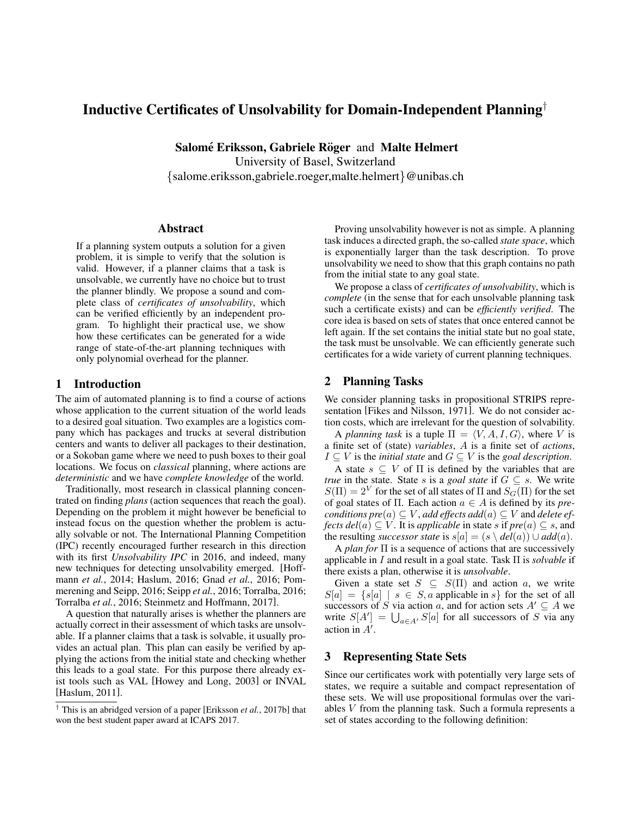# Inductive Certificates of Unsolvability for Domain-Independent Planning†

Salomé Eriksson, Gabriele Röger and Malte Helmert University of Basel, Switzerland

{salome.eriksson,gabriele.roeger,malte.helmert}@unibas.ch

### Abstract

If a planning system outputs a solution for a given problem, it is simple to verify that the solution is valid. However, if a planner claims that a task is unsolvable, we currently have no choice but to trust the planner blindly. We propose a sound and complete class of *certificates of unsolvability*, which can be verified efficiently by an independent program. To highlight their practical use, we show how these certificates can be generated for a wide range of state-of-the-art planning techniques with only polynomial overhead for the planner.

## 1 Introduction

The aim of automated planning is to find a course of actions whose application to the current situation of the world leads to a desired goal situation. Two examples are a logistics company which has packages and trucks at several distribution centers and wants to deliver all packages to their destination, or a Sokoban game where we need to push boxes to their goal locations. We focus on *classical* planning, where actions are *deterministic* and we have *complete knowledge* of the world.

Traditionally, most research in classical planning concentrated on finding *plans* (action sequences that reach the goal). Depending on the problem it might however be beneficial to instead focus on the question whether the problem is actually solvable or not. The International Planning Competition (IPC) recently encouraged further research in this direction with its first *Unsolvability IPC* in 2016, and indeed, many new techniques for detecting unsolvability emerged. [\[Hoff](#page-4-0)mann *et al.*[, 2014;](#page-4-0) [Haslum, 2016;](#page-4-1) Gnad *et al.*[, 2016;](#page-4-2) [Pom](#page-4-3)[merening and Seipp, 2016;](#page-4-3) Seipp *et al.*[, 2016;](#page-4-4) [Torralba, 2016;](#page-4-5) [Torralba](#page-4-6) *et al.*, 2016; [Steinmetz and Hoffmann, 2017\]](#page-4-7).

A question that naturally arises is whether the planners are actually correct in their assessment of which tasks are unsolvable. If a planner claims that a task is solvable, it usually provides an actual plan. This plan can easily be verified by applying the actions from the initial state and checking whether this leads to a goal state. For this purpose there already exist tools such as VAL [\[Howey and Long, 2003\]](#page-4-8) or INVAL [\[Haslum, 2011\]](#page-4-9).

Proving unsolvability however is not as simple. A planning task induces a directed graph, the so-called *state space*, which is exponentially larger than the task description. To prove unsolvability we need to show that this graph contains no path from the initial state to any goal state.

We propose a class of *certificates of unsolvability*, which is *complete* (in the sense that for each unsolvable planning task such a certificate exists) and can be *efficiently verified*. The core idea is based on sets of states that once entered cannot be left again. If the set contains the initial state but no goal state, the task must be unsolvable. We can efficiently generate such certificates for a wide variety of current planning techniques.

## 2 Planning Tasks

We consider planning tasks in propositional STRIPS representation [\[Fikes and Nilsson, 1971\]](#page-4-11). We do not consider action costs, which are irrelevant for the question of solvability.

A *planning task* is a tuple  $\Pi = \langle V, A, I, G \rangle$ , where V is a finite set of (state) *variables*, A is a finite set of *actions*, *I* ⊆ *V* is the *initial state* and *G* ⊆ *V* is the *goal description*.

A state  $s \subseteq V$  of  $\Pi$  is defined by the variables that are *true* in the state. State s is a *goal state* if  $G \subseteq s$ . We write  $S(\Pi) = 2^V$  for the set of all states of  $\Pi$  and  $S_G(\Pi)$  for the set of goal states of Π. Each action a ∈ A is defined by its *preconditions pre* $(a) \subseteq V$ *, add effects add* $(a) \subseteq V$  and *delete effects del*(*a*)  $\subseteq$  *V*. It is *applicable* in state *s* if  $pre(a) \subseteq s$ , and the resulting *successor state* is  $s[a] = (s \setminus \text{del}(a)) \cup \text{add}(a)$ .

A *plan for* Π is a sequence of actions that are successively applicable in I and result in a goal state. Task Π is *solvable* if there exists a plan, otherwise it is *unsolvable*.

Given a state set  $S \subseteq S(\Pi)$  and action a, we write  $S[a] = \{s[a] \mid s \in S, a \text{ applicable in } s\}$  for the set of all successors of S via action a, and for action sets  $A' \subseteq A$  we write  $S[A'] = \bigcup_{a \in A'} S[a]$  for all successors of S via any action in  $A'$ .

## 3 Representing State Sets

Since our certificates work with potentially very large sets of states, we require a suitable and compact representation of these sets. We will use propositional formulas over the variables V from the planning task. Such a formula represents a set of states according to the following definition:

<sup>†</sup> This is an abridged version of a paper [\[Eriksson](#page-4-10) *et al.*, 2017b] that won the best student paper award at ICAPS 2017.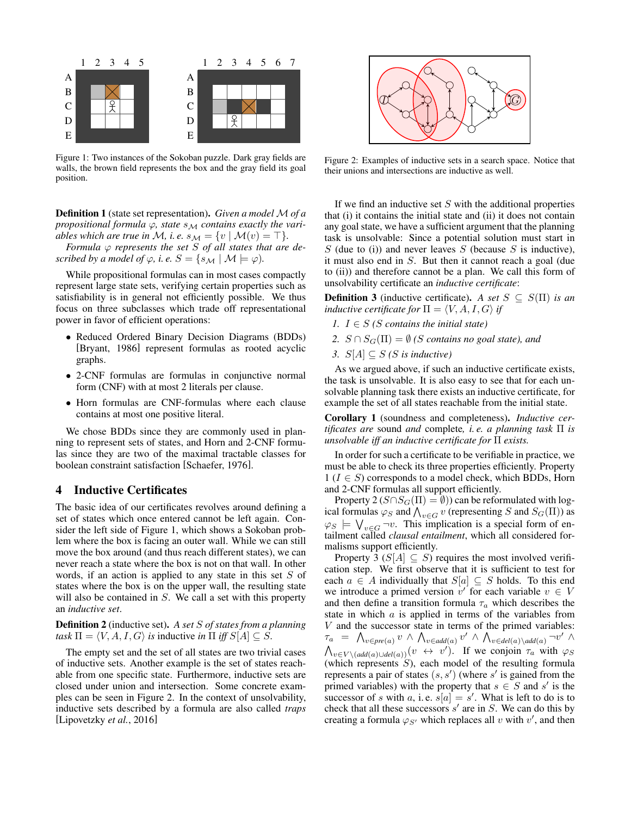<span id="page-1-0"></span>

Figure 1: Two instances of the Sokoban puzzle. Dark gray fields are walls, the brown field represents the box and the gray field its goal position.

Definition 1 (state set representation). *Given a model* M *of a propositional formula*  $\varphi$ *, state*  $s_M$  *contains exactly the variables which are true in M*, *i. e.*  $s_M = \{v \mid M(v) = \top\}.$ 

*Formula*  $\varphi$  *represents the set S of all states that are described by a model of*  $\varphi$ *, i.e.*  $S = \{s_M | \mathcal{M} \models \varphi\}$ *.* 

While propositional formulas can in most cases compactly represent large state sets, verifying certain properties such as satisfiability is in general not efficiently possible. We thus focus on three subclasses which trade off representational power in favor of efficient operations:

- Reduced Ordered Binary Decision Diagrams (BDDs) [\[Bryant, 1986\]](#page-4-12) represent formulas as rooted acyclic graphs.
- 2-CNF formulas are formulas in conjunctive normal form (CNF) with at most 2 literals per clause.
- Horn formulas are CNF-formulas where each clause contains at most one positive literal.

We chose BDDs since they are commonly used in planning to represent sets of states, and Horn and 2-CNF formulas since they are two of the maximal tractable classes for boolean constraint satisfaction [\[Schaefer, 1976\]](#page-4-13).

### 4 Inductive Certificates

The basic idea of our certificates revolves around defining a set of states which once entered cannot be left again. Consider the left side of Figure [1,](#page-1-0) which shows a Sokoban problem where the box is facing an outer wall. While we can still move the box around (and thus reach different states), we can never reach a state where the box is not on that wall. In other words, if an action is applied to any state in this set S of states where the box is on the upper wall, the resulting state will also be contained in  $S$ . We call a set with this property an *inductive set*.

Definition 2 (inductive set). *A set* S *of states from a planning task*  $\Pi = \langle V, A, I, G \rangle$  *is* inductive *in*  $\Pi$  *iff*  $S[A] \subseteq S$ .

The empty set and the set of all states are two trivial cases of inductive sets. Another example is the set of states reachable from one specific state. Furthermore, inductive sets are closed under union and intersection. Some concrete examples can be seen in Figure [2.](#page-1-1) In the context of unsolvability, inductive sets described by a formula are also called *traps* [\[Lipovetzky](#page-4-14) *et al.*, 2016]

<span id="page-1-1"></span>

Figure 2: Examples of inductive sets in a search space. Notice that their unions and intersections are inductive as well.

If we find an inductive set  $S$  with the additional properties that (i) it contains the initial state and (ii) it does not contain any goal state, we have a sufficient argument that the planning task is unsolvable: Since a potential solution must start in  $S$  (due to (i)) and never leaves  $S$  (because  $S$  is inductive), it must also end in S. But then it cannot reach a goal (due to (ii)) and therefore cannot be a plan. We call this form of unsolvability certificate an *inductive certificate*:

**Definition 3** (inductive certificate). *A set*  $S \subseteq S(\Pi)$  *is an inductive certificate for*  $\Pi = \langle V, A, I, G \rangle$  *if* 

- *1.*  $I \in S$  *(S contains the initial state)*
- 2.  $S \cap S_G(\Pi) = \emptyset$  *(S contains no goal state), and*
- *3.*  $S[A] ⊆ S$  *(S is inductive)*

As we argued above, if such an inductive certificate exists, the task is unsolvable. It is also easy to see that for each unsolvable planning task there exists an inductive certificate, for example the set of all states reachable from the initial state.

Corollary 1 (soundness and completeness). *Inductive certificates are* sound *and* complete*, i. e. a planning task* Π *is unsolvable iff an inductive certificate for* Π *exists.*

In order for such a certificate to be verifiable in practice, we must be able to check its three properties efficiently. Property  $1 (I \in S)$  corresponds to a model check, which BDDs, Horn and 2-CNF formulas all support efficiently.

Property 2 ( $S \cap S_G(\Pi) = \emptyset$ ) can be reformulated with logical formulas  $\varphi_S$  and  $\bigwedge_{v \in G} v$  (representing S and  $S_G(\Pi)$ ) as  $\varphi_S \models \bigvee_{v \in G} \neg v$ . This implication is a special form of entailment called *clausal entailment*, which all considered formalisms support efficiently.

Property 3 ( $S[A] \subseteq S$ ) requires the most involved verification step. We first observe that it is sufficient to test for each  $a \in A$  individually that  $S[a] \subseteq S$  holds. To this end we introduce a primed version  $v'$  for each variable  $v \in V$ and then define a transition formula  $\tau_a$  which describes the state in which a is applied in terms of the variables from  $V$  and the successor state in terms of the primed variables:  $\tau_a = \bigwedge_{v \in pre(a)} v \land \bigwedge_{v \in add(a)} v' \land \bigwedge_{v \in del(a) \setminus add(a)} \neg v' \land \neg v'$  $\bigwedge_{v \in V \setminus (add(a) \cup del(a))} (v \leftrightarrow v')$ . If we conjoin  $\tau_a$  with  $\varphi_S$ (which represents  $S$ ), each model of the resulting formula represents a pair of states  $(s, s')$  (where s' is gained from the primed variables) with the property that  $s \in S$  and s' is the successor of s with a, i.e.  $s[a] = s'$ . What is left to do is to check that all these successors  $s'$  are in  $S$ . We can do this by creating a formula  $\varphi_{S'}$  which replaces all v with v', and then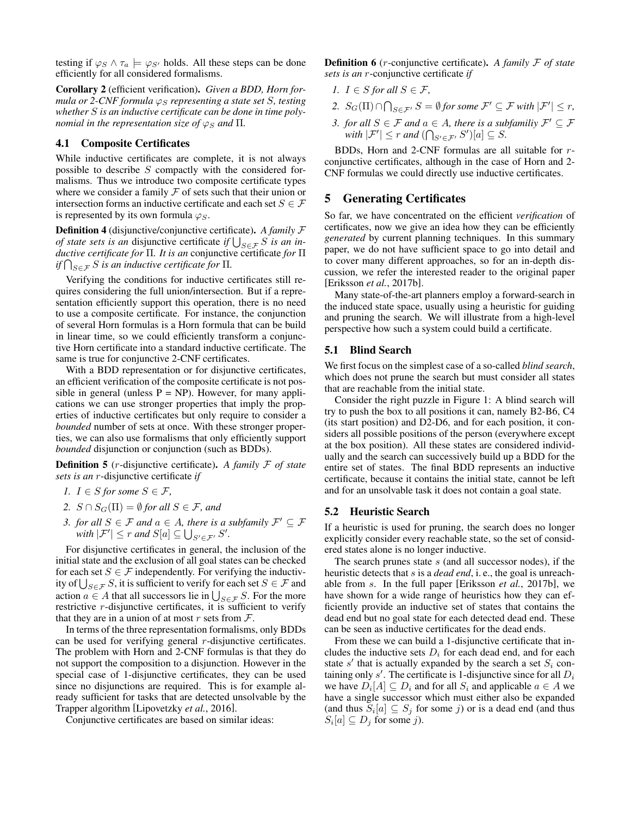testing if  $\varphi_S \wedge \tau_a \models \varphi_{S'}$  holds. All these steps can be done efficiently for all considered formalisms.

Corollary 2 (efficient verification). *Given a BDD, Horn formula or 2-CNF formula*  $\varphi_S$  *representing a state set S, testing whether* S *is an inductive certificate can be done in time polynomial in the representation size of*  $\varphi_S$  *and*  $\Pi$ *.* 

#### 4.1 Composite Certificates

While inductive certificates are complete, it is not always possible to describe S compactly with the considered formalisms. Thus we introduce two composite certificate types where we consider a family  $F$  of sets such that their union or intersection forms an inductive certificate and each set  $S \in \mathcal{F}$ is represented by its own formula  $\varphi_S$ .

Definition 4 (disjunctive/conjunctive certificate). *A family* F *of state sets is an disjunctive certificate if*  $\bigcup_{S \in \mathcal{F}} S$  *is an inductive certificate for* Π*. It is an* conjunctive certificate *for* Π  $if\bigcap_{S\in\mathcal{F}}S$  *is an inductive certificate for*  $\Pi.$ 

Verifying the conditions for inductive certificates still requires considering the full union/intersection. But if a representation efficiently support this operation, there is no need to use a composite certificate. For instance, the conjunction of several Horn formulas is a Horn formula that can be build in linear time, so we could efficiently transform a conjunctive Horn certificate into a standard inductive certificate. The same is true for conjunctive 2-CNF certificates.

With a BDD representation or for disjunctive certificates, an efficient verification of the composite certificate is not possible in general (unless  $P = NP$ ). However, for many applications we can use stronger properties that imply the properties of inductive certificates but only require to consider a *bounded* number of sets at once. With these stronger properties, we can also use formalisms that only efficiently support *bounded* disjunction or conjunction (such as BDDs).

Definition 5 (r-disjunctive certificate). *A family* F *of state sets is an* r-disjunctive certificate *if*

- *1.*  $I \in S$  *for some*  $S \in \mathcal{F}$ *,*
- *2.*  $S \cap S_G(\Pi) = \emptyset$  *for all*  $S \in \mathcal{F}$ *, and*
- *3. for all*  $S \in \mathcal{F}$  *and*  $a \in A$ *, there is a subfamily*  $\mathcal{F}' \subseteq \mathcal{F}$ *with*  $|\mathcal{F}'| \leq r$  *and*  $S[a] \subseteq \bigcup_{S' \in \mathcal{F}'} S'.$

For disjunctive certificates in general, the inclusion of the initial state and the exclusion of all goal states can be checked for each set  $S \in \mathcal{F}$  independently. For verifying the inductivity of  $\bigcup_{S \in \mathcal{F}} S$ , it is sufficient to verify for each set  $S \in \mathcal{F}$  and action  $a \in A$  that all successors lie in  $\bigcup_{S \in \mathcal{F}} S$ . For the more restrictive r-disjunctive certificates, it is sufficient to verify that they are in a union of at most  $r$  sets from  $\mathcal{F}$ .

In terms of the three representation formalisms, only BDDs can be used for verifying general r-disjunctive certificates. The problem with Horn and 2-CNF formulas is that they do not support the composition to a disjunction. However in the special case of 1-disjunctive certificates, they can be used since no disjunctions are required. This is for example already sufficient for tasks that are detected unsolvable by the Trapper algorithm [\[Lipovetzky](#page-4-14) *et al.*, 2016].

Conjunctive certificates are based on similar ideas:

Definition 6 (r-conjunctive certificate). *A family* F *of state sets is an* r-conjunctive certificate *if*

- *1.*  $I \in S$  *for all*  $S \in \mathcal{F}$ *,*
- 2.  $S_G(\Pi) \cap \bigcap_{S \in \mathcal{F}'} S = \emptyset$  for some  $\mathcal{F}' \subseteq \mathcal{F}$  with  $|\mathcal{F}'| \leq r$ ,
- *3. for all*  $S \in \mathcal{F}$  *and*  $a \in A$ *, there is a subfamiliy*  $\mathcal{F}' \subseteq \mathcal{F}$  $with |\mathcal{F}'| \leq r$  *and*  $(\bigcap_{S' \in \mathcal{F}'} S')[a] \subseteq S$ *.*

BDDs, Horn and 2-CNF formulas are all suitable for rconjunctive certificates, although in the case of Horn and 2- CNF formulas we could directly use inductive certificates.

### 5 Generating Certificates

So far, we have concentrated on the efficient *verification* of certificates, now we give an idea how they can be efficiently *generated* by current planning techniques. In this summary paper, we do not have sufficient space to go into detail and to cover many different approaches, so for an in-depth discussion, we refer the interested reader to the original paper [\[Eriksson](#page-4-10) *et al.*, 2017b].

Many state-of-the-art planners employ a forward-search in the induced state space, usually using a heuristic for guiding and pruning the search. We will illustrate from a high-level perspective how such a system could build a certificate.

#### 5.1 Blind Search

We first focus on the simplest case of a so-called *blind search*, which does not prune the search but must consider all states that are reachable from the initial state.

Consider the right puzzle in Figure [1:](#page-1-0) A blind search will try to push the box to all positions it can, namely B2-B6, C4 (its start position) and D2-D6, and for each position, it considers all possible positions of the person (everywhere except at the box position). All these states are considered individually and the search can successively build up a BDD for the entire set of states. The final BDD represents an inductive certificate, because it contains the initial state, cannot be left and for an unsolvable task it does not contain a goal state.

#### 5.2 Heuristic Search

If a heuristic is used for pruning, the search does no longer explicitly consider every reachable state, so the set of considered states alone is no longer inductive.

The search prunes state  $s$  (and all successor nodes), if the heuristic detects that s is a *dead end*, i. e., the goal is unreachable from s. In the full paper [\[Eriksson](#page-4-10) *et al.*, 2017b], we have shown for a wide range of heuristics how they can efficiently provide an inductive set of states that contains the dead end but no goal state for each detected dead end. These can be seen as inductive certificates for the dead ends.

From these we can build a 1-disjunctive certificate that includes the inductive sets  $D_i$  for each dead end, and for each state  $s'$  that is actually expanded by the search a set  $S_i$  containing only s'. The certificate is 1-disjunctive since for all  $D_i$ we have  $D_i[A] \subseteq D_i$  and for all  $S_i$  and applicable  $a \in A$  we have a single successor which must either also be expanded (and thus  $S_i[a] \subseteq S_j$  for some j) or is a dead end (and thus  $S_i[a] \subseteq D_j$  for some j).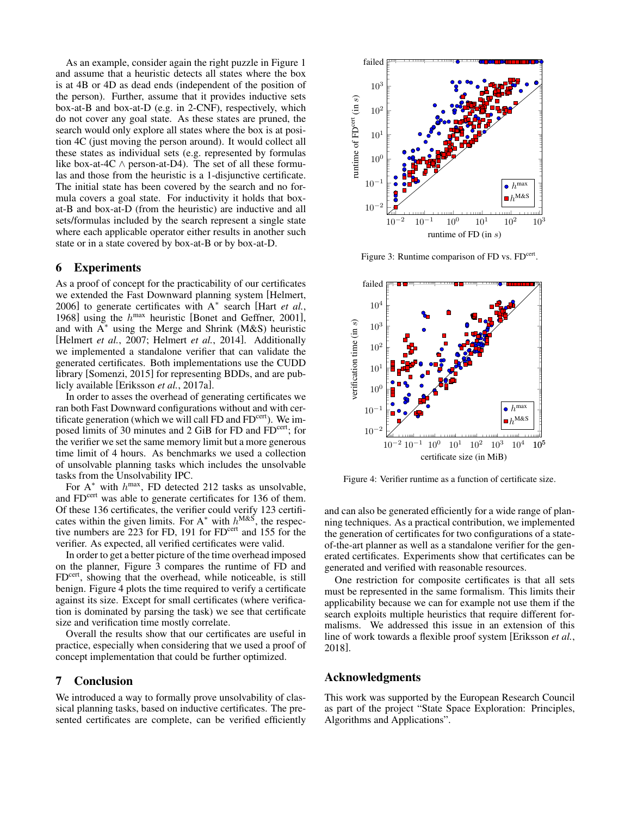As an example, consider again the right puzzle in Figure [1](#page-1-0) and assume that a heuristic detects all states where the box is at 4B or 4D as dead ends (independent of the position of the person). Further, assume that it provides inductive sets box-at-B and box-at-D (e.g. in 2-CNF), respectively, which do not cover any goal state. As these states are pruned, the search would only explore all states where the box is at position 4C (just moving the person around). It would collect all these states as individual sets (e.g. represented by formulas like box-at-4C  $\land$  person-at-D4). The set of all these formulas and those from the heuristic is a 1-disjunctive certificate. The initial state has been covered by the search and no formula covers a goal state. For inductivity it holds that boxat-B and box-at-D (from the heuristic) are inductive and all sets/formulas included by the search represent a single state where each applicable operator either results in another such state or in a state covered by box-at-B or by box-at-D.

#### 6 Experiments

As a proof of concept for the practicability of our certificates we extended the Fast Downward planning system [\[Helmert,](#page-4-15) [2006\]](#page-4-15) to generate certificates with A<sup>∗</sup> search [Hart *[et al.](#page-4-16)*, [1968\]](#page-4-16) using the  $h^{\text{max}}$  heuristic [\[Bonet and Geffner, 2001\]](#page-4-17), and with  $A^*$  using the Merge and Shrink (M&S) heuristic [\[Helmert](#page-4-18) *et al.*, 2007; [Helmert](#page-4-19) *et al.*, 2014]. Additionally we implemented a standalone verifier that can validate the generated certificates. Both implementations use the CUDD library [\[Somenzi, 2015\]](#page-4-20) for representing BDDs, and are publicly available [\[Eriksson](#page-4-21) *et al.*, 2017a].

In order to asses the overhead of generating certificates we ran both Fast Downward configurations without and with certificate generation (which we will call FD and  $FD^{cert}$ ). We imposed limits of 30 minutes and 2 GiB for FD and FD<sup>cert</sup>; for the verifier we set the same memory limit but a more generous time limit of 4 hours. As benchmarks we used a collection of unsolvable planning tasks which includes the unsolvable tasks from the Unsolvability IPC.

For  $A^*$  with  $h^{max}$ , FD detected 212 tasks as unsolvable, and  $FD^{cert}$  was able to generate certificates for 136 of them. Of these 136 certificates, the verifier could verify 123 certificates within the given limits. For  $A^*$  with  $h^{M\&S}$ , the respective numbers are  $223$  for FD, 191 for FD<sup>cert</sup> and 155 for the verifier. As expected, all verified certificates were valid.

In order to get a better picture of the time overhead imposed on the planner, Figure [3](#page-3-0) compares the runtime of FD and FD<sup>cert</sup>, showing that the overhead, while noticeable, is still benign. Figure [4](#page-3-1) plots the time required to verify a certificate against its size. Except for small certificates (where verification is dominated by parsing the task) we see that certificate size and verification time mostly correlate.

Overall the results show that our certificates are useful in practice, especially when considering that we used a proof of concept implementation that could be further optimized.

## 7 Conclusion

We introduced a way to formally prove unsolvability of classical planning tasks, based on inductive certificates. The presented certificates are complete, can be verified efficiently

<span id="page-3-0"></span>

Figure 3: Runtime comparison of FD vs. FD<sup>cert</sup>.

<span id="page-3-1"></span>

Figure 4: Verifier runtime as a function of certificate size.

and can also be generated efficiently for a wide range of planning techniques. As a practical contribution, we implemented the generation of certificates for two configurations of a stateof-the-art planner as well as a standalone verifier for the generated certificates. Experiments show that certificates can be generated and verified with reasonable resources.

One restriction for composite certificates is that all sets must be represented in the same formalism. This limits their applicability because we can for example not use them if the search exploits multiple heuristics that require different formalisms. We addressed this issue in an extension of this line of work towards a flexible proof system [\[Eriksson](#page-4-22) *et al.*, [2018\]](#page-4-22).

#### Acknowledgments

This work was supported by the European Research Council as part of the project "State Space Exploration: Principles, Algorithms and Applications".